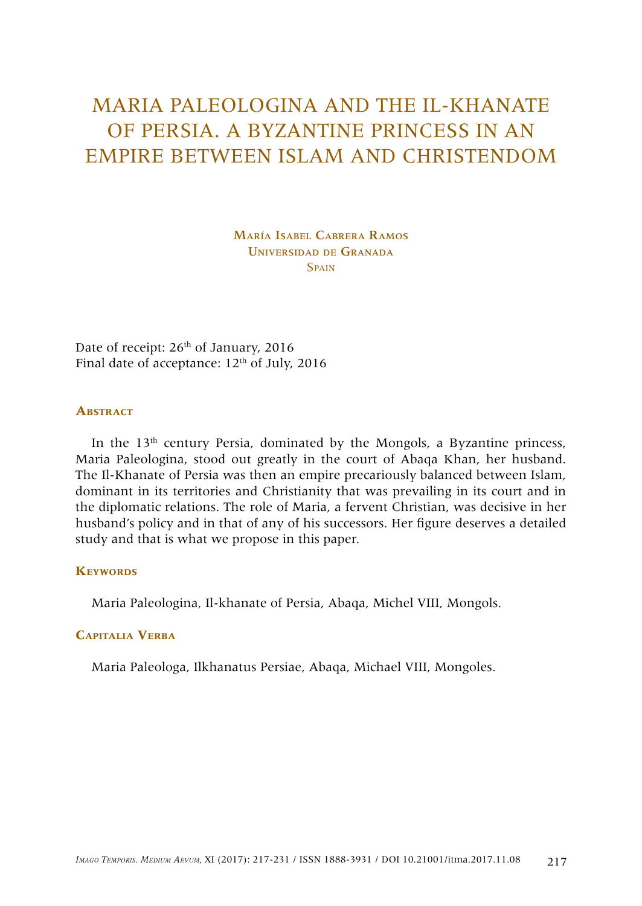# MARIA PALEOLOGINA AND THE IL-KHANATE OF PERSIA. A BYZANTINE PRINCESS IN AN EMPIRE BETWEEN ISLAM AND CHRISTENDOM

María Isabel Cabrera Ramos Universidad de Granada **Spain** 

Date of receipt: 26<sup>th</sup> of January, 2016 Final date of acceptance:  $12<sup>th</sup>$  of July, 2016

#### **Abstract**

In the  $13<sup>th</sup>$  century Persia, dominated by the Mongols, a Byzantine princess, Maria Paleologina, stood out greatly in the court of Abaqa Khan, her husband. The Il-Khanate of Persia was then an empire precariously balanced between Islam, dominant in its territories and Christianity that was prevailing in its court and in the diplomatic relations. The role of Maria, a fervent Christian, was decisive in her husband's policy and in that of any of his successors. Her figure deserves a detailed study and that is what we propose in this paper.

#### **KEYWORDS**

Maria Paleologina, Il-khanate of Persia, Abaqa, Michel VIII, Mongols.

#### **Capitalia Verba**

Maria Paleologa, Ilkhanatus Persiae, Abaqa, Michael VIII, Mongoles.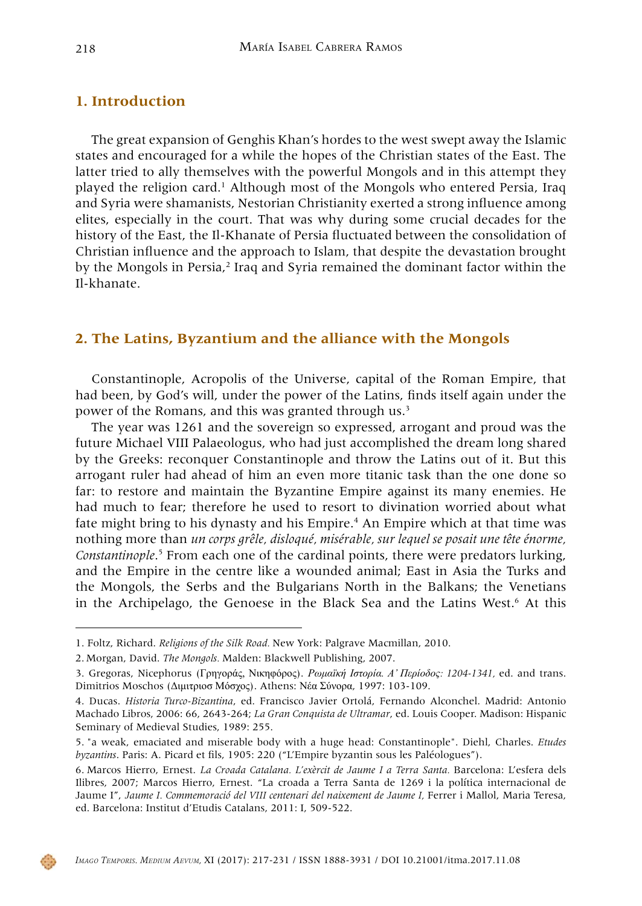## **1. Introduction**

The great expansion of Genghis Khan's hordes to the west swept away the Islamic states and encouraged for a while the hopes of the Christian states of the East. The latter tried to ally themselves with the powerful Mongols and in this attempt they played the religion card.<sup>1</sup> Although most of the Mongols who entered Persia, Iraq and Syria were shamanists, Nestorian Christianity exerted a strong influence among elites, especially in the court. That was why during some crucial decades for the history of the East, the Il-Khanate of Persia fluctuated between the consolidation of Christian influence and the approach to Islam, that despite the devastation brought by the Mongols in Persia,<sup>2</sup> Iraq and Syria remained the dominant factor within the Il-khanate.

## **2. The Latins, Byzantium and the alliance with the Mongols**

Constantinople, Acropolis of the Universe, capital of the Roman Empire, that had been, by God's will, under the power of the Latins, finds itself again under the power of the Romans, and this was granted through us.<sup>3</sup>

The year was 1261 and the sovereign so expressed, arrogant and proud was the future Michael VIII Palaeologus, who had just accomplished the dream long shared by the Greeks: reconquer Constantinople and throw the Latins out of it. But this arrogant ruler had ahead of him an even more titanic task than the one done so far: to restore and maintain the Byzantine Empire against its many enemies. He had much to fear; therefore he used to resort to divination worried about what fate might bring to his dynasty and his Empire.<sup>4</sup> An Empire which at that time was nothing more than *un corps grêle, disloqué, misérable, sur lequel se posait une tête énorme,*  Constantinople.<sup>5</sup> From each one of the cardinal points, there were predators lurking, and the Empire in the centre like a wounded animal; East in Asia the Turks and the Mongols, the Serbs and the Bulgarians North in the Balkans; the Venetians in the Archipelago, the Genoese in the Black Sea and the Latins West.<sup>6</sup> At this



<sup>1.</sup> Foltz, Richard. *Religions of the Silk Road.* New York: Palgrave Macmillan, 2010.

<sup>2.</sup> Morgan, David. *The Mongols.* Malden: Blackwell Publishing, 2007.

<sup>3.</sup> Gregoras, Nicephorus (Γρηγοράς, Νικηφόρος). *Ρωμαïκή Ιστορία. Α' Περίοδος: 1204-1341,* ed. and trans. Dimitrios Moschos (Διμιτριοσ Μόσχος). Athens: Νέα Σύνορα, 1997: 103-109.

<sup>4.</sup> Ducas. *Historia Turco-Bizantina*, ed. Francisco Javier Ortolá, Fernando Alconchel. Madrid: Antonio Machado Libros, 2006: 66, 2643-264; *La Gran Conquista de Ultramar*, ed. Louis Cooper. Madison: Hispanic Seminary of Medieval Studies, 1989: 255.

<sup>5.</sup> "a weak, emaciated and miserable body with a huge head: Constantinople". Diehl, Charles. *Etudes byzantins*. Paris: A. Picard et fils, 1905: 220 ("L'Empire byzantin sous les Paléologues").

<sup>6.</sup> Marcos Hierro, Ernest. *La Croada Catalana. L'exèrcit de Jaume I a Terra Santa.* Barcelona: L'esfera dels Ilibres, 2007; Marcos Hierro, Ernest. "La croada a Terra Santa de 1269 i la política internacional de Jaume I", Jaume I. Commemoració del VIII centenari del naixement de Jaume I, Ferrer i Mallol, Maria Teresa, ed. Barcelona: Institut d'Etudis Catalans, 2011: I, 509-522.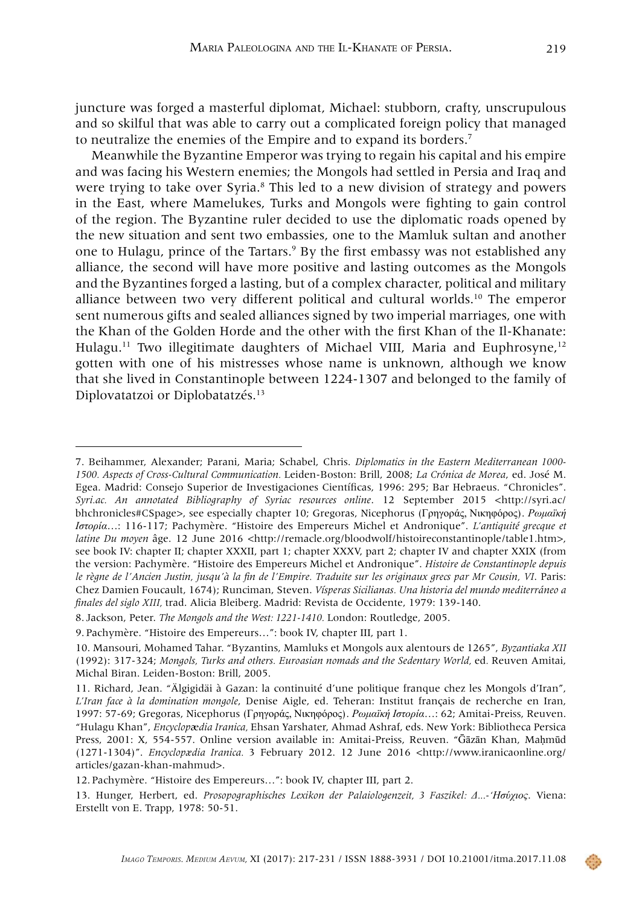juncture was forged a masterful diplomat, Michael: stubborn, crafty, unscrupulous and so skilful that was able to carry out a complicated foreign policy that managed to neutralize the enemies of the Empire and to expand its borders.7

Meanwhile the Byzantine Emperor was trying to regain his capital and his empire and was facing his Western enemies; the Mongols had settled in Persia and Iraq and were trying to take over Syria.<sup>8</sup> This led to a new division of strategy and powers in the East, where Mamelukes, Turks and Mongols were fighting to gain control of the region. The Byzantine ruler decided to use the diplomatic roads opened by the new situation and sent two embassies, one to the Mamluk sultan and another one to Hulagu, prince of the Tartars.<sup>9</sup> By the first embassy was not established any alliance, the second will have more positive and lasting outcomes as the Mongols and the Byzantines forged a lasting, but of a complex character, political and military alliance between two very different political and cultural worlds.10 The emperor sent numerous gifts and sealed alliances signed by two imperial marriages, one with the Khan of the Golden Horde and the other with the first Khan of the Il-Khanate: Hulagu.<sup>11</sup> Two illegitimate daughters of Michael VIII, Maria and Euphrosyne,<sup>12</sup> gotten with one of his mistresses whose name is unknown, although we know that she lived in Constantinople between 1224-1307 and belonged to the family of Diplovatatzoi or Diplobatatzés.13

<sup>7.</sup> Beihammer, Alexander; Parani, Maria; Schabel, Chris. *Diplomatics in the Eastern Mediterranean 1000- 1500. Aspects of Cross-Cultural Communication.* Leiden-Boston: Brill, 2008; *La Crónica de Morea*, ed. José M. Egea. Madrid: Consejo Superior de Investigaciones Científicas, 1996: 295; Bar Hebraeus. "Chronicles". *Syri.ac. An annotated Bibliography of Syriac resources online*. 12 September 2015 <http://syri.ac/ bhchronicles#CSpage>, see especially chapter 10; Gregoras, Nicephorus (Γρηγοράς, Νικηφόρος). *Ρωμαïκή Ιστορία*…: 116-117; Pachymère. "Histoire des Empereurs Michel et Andronique". *L'antiquité grecque et latine Du moyen* âge. 12 June 2016 <http://remacle.org/bloodwolf/histoireconstantinople/table1.htm>, see book IV: chapter II; chapter XXXII, part 1; chapter XXXV, part 2; chapter IV and chapter XXIX (from the version: Pachymère. "Histoire des Empereurs Michel et Andronique". *Histoire de Constantinople depuis le règne de l'Ancien Justin, jusqu'à la fin de l'Empire. Traduite sur les originaux grecs par Mr Cousin, VI*. Paris: Chez Damien Foucault, 1674); Runciman, Steven. *Vísperas Sicilianas. Una historia del mundo mediterráneo a finales del siglo XIII,* trad. Alicia Bleiberg. Madrid: Revista de Occidente, 1979: 139-140.

<sup>8.</sup> Jackson, Peter. *The Mongols and the West: 1221-1410.* London: Routledge, 2005.

<sup>9.</sup> Pachymère. "Histoire des Empereurs…": book IV, chapter III, part 1.

<sup>10.</sup> Mansouri, Mohamed Tahar. "Byzantins, Mamluks et Mongols aux alentours de 1265", *Byzantiaka XII* (1992): 317-324; *Mongols, Turks and others. Euroasian nomads and the Sedentary World,* ed*.* Reuven Amitai, Michal Biran. Leiden-Boston: Brill, 2005.

<sup>11.</sup> Richard, Jean. "Älgigidäi à Gazan: la continuité d'une politique franque chez les Mongols d'Iran", *L'Iran face à la domination mongole*, Denise Aigle, ed. Teheran: Institut français de recherche en Iran, 1997: 57-69; Gregoras, Nicephorus (Γρηγοράς, Νικηφόρος). *Ρωμαïκή Ιστορία*…: 62; Amitai-Preiss, Reuven. "Hulagu Khan", *Encyclop*æ*dia Iranica,* Ehsan Yarshater, Ahmad Ashraf, eds. New York: Bibliotheca Persica Press, 2001: X, 554-557. Online version available in: Amitai-Preiss, Reuven. "Ḡāzān Khan, Maḥmūd (1271-1304)". *Encyclopædia Iranica.* 3 February 2012. 12 June 2016 <http://www.iranicaonline.org/ articles/gazan-khan-mahmud>.

<sup>12.</sup> Pachymère. "Histoire des Empereurs…": book IV, chapter III, part 2.

<sup>13.</sup> Hunger, Herbert, ed. *Prosopographisches Lexikon der Palaiologenzeit, 3 Faszikel: Δ...-'Ησύχιος*. Viena: Erstellt von E. Trapp, 1978: 50-51.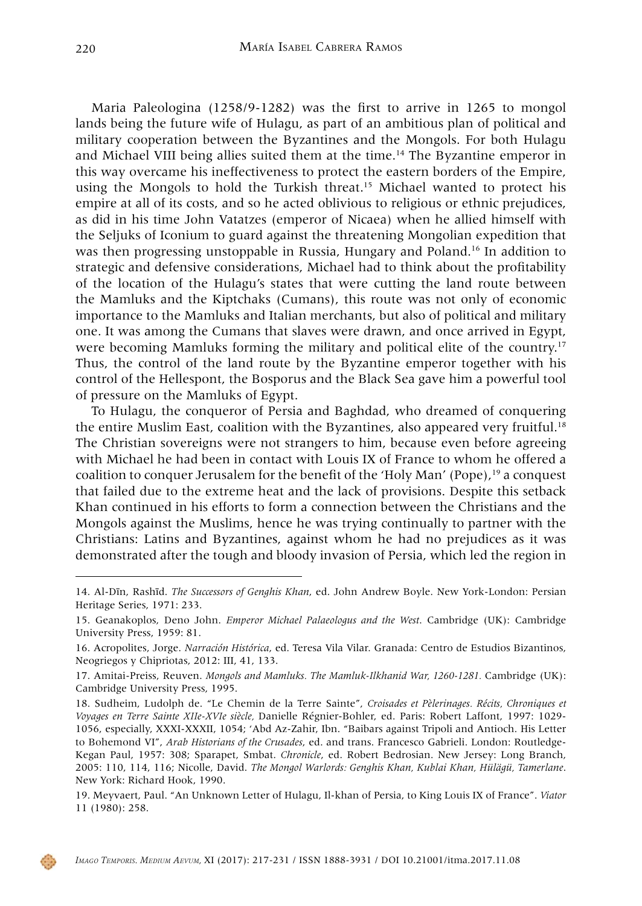Maria Paleologina (1258/9-1282) was the first to arrive in 1265 to mongol lands being the future wife of Hulagu, as part of an ambitious plan of political and military cooperation between the Byzantines and the Mongols. For both Hulagu and Michael VIII being allies suited them at the time.<sup>14</sup> The Byzantine emperor in this way overcame his ineffectiveness to protect the eastern borders of the Empire, using the Mongols to hold the Turkish threat.<sup>15</sup> Michael wanted to protect his empire at all of its costs, and so he acted oblivious to religious or ethnic prejudices, as did in his time John Vatatzes (emperor of Nicaea) when he allied himself with the Seljuks of Iconium to guard against the threatening Mongolian expedition that was then progressing unstoppable in Russia, Hungary and Poland.<sup>16</sup> In addition to strategic and defensive considerations, Michael had to think about the profitability of the location of the Hulagu's states that were cutting the land route between the Mamluks and the Kiptchaks (Cumans), this route was not only of economic importance to the Mamluks and Italian merchants, but also of political and military one. It was among the Cumans that slaves were drawn, and once arrived in Egypt, were becoming Mamluks forming the military and political elite of the country.<sup>17</sup> Thus, the control of the land route by the Byzantine emperor together with his control of the Hellespont, the Bosporus and the Black Sea gave him a powerful tool of pressure on the Mamluks of Egypt.

To Hulagu, the conqueror of Persia and Baghdad, who dreamed of conquering the entire Muslim East, coalition with the Byzantines, also appeared very fruitful.<sup>18</sup> The Christian sovereigns were not strangers to him, because even before agreeing with Michael he had been in contact with Louis IX of France to whom he offered a coalition to conquer Jerusalem for the benefit of the 'Holy Man' (Pope),19 a conquest that failed due to the extreme heat and the lack of provisions. Despite this setback Khan continued in his efforts to form a connection between the Christians and the Mongols against the Muslims, hence he was trying continually to partner with the Christians: Latins and Byzantines, against whom he had no prejudices as it was demonstrated after the tough and bloody invasion of Persia, which led the region in



<sup>14.</sup> Al-Dīn, Rashīd. *The Successors of Genghis Khan*, ed. John Andrew Boyle. New York-London: Persian Heritage Series, 1971: 233.

<sup>15.</sup> Geanakoplos, Deno John. *Emperor Michael Palaeologus and the West*. Cambridge (UK): Cambridge University Press, 1959: 81.

<sup>16.</sup> Acropolites, Jorge. *Narración Histórica*, ed. Teresa Vila Vilar. Granada: Centro de Estudios Bizantinos, Neogriegos y Chipriotas, 2012: III, 41, 133.

<sup>17.</sup> Amitai-Preiss, Reuven. *Mongols and Mamluks. The Mamluk-Ilkhanid War, 1260-1281.* Cambridge (UK): Cambridge University Press, 1995.

<sup>18.</sup> Sudheim, Ludolph de. "Le Chemin de la Terre Sainte", *Croisades et Pèlerinages. Récits, Chroniques et Voyages en Terre Sainte XIIe-XVIe siècle,* Danielle Régnier-Bohler, ed. Paris: Robert Laffont, 1997: 1029- 1056, especially, XXXI-XXXII, 1054; 'Abd Az-Zahir, Ibn. "Baibars against Tripoli and Antioch. His Letter to Bohemond VI", *Arab Historians of the Crusades*, ed. and trans. Francesco Gabrieli. London: Routledge-Kegan Paul, 1957: 308; Sparapet, Smbat. *Chronicle*, ed. Robert Bedrosian. New Jersey: Long Branch, 2005: 110, 114, 116; Nicolle, David. *The Mongol Warlords: Genghis Khan, Kublai Khan, Hülägü, Tamerlane*. New York: Richard Hook, 1990.

<sup>19.</sup> Meyvaert, Paul. "An Unknown Letter of Hulagu, Il-khan of Persia, to King Louis IX of France". *Viator*  11 (1980): 258.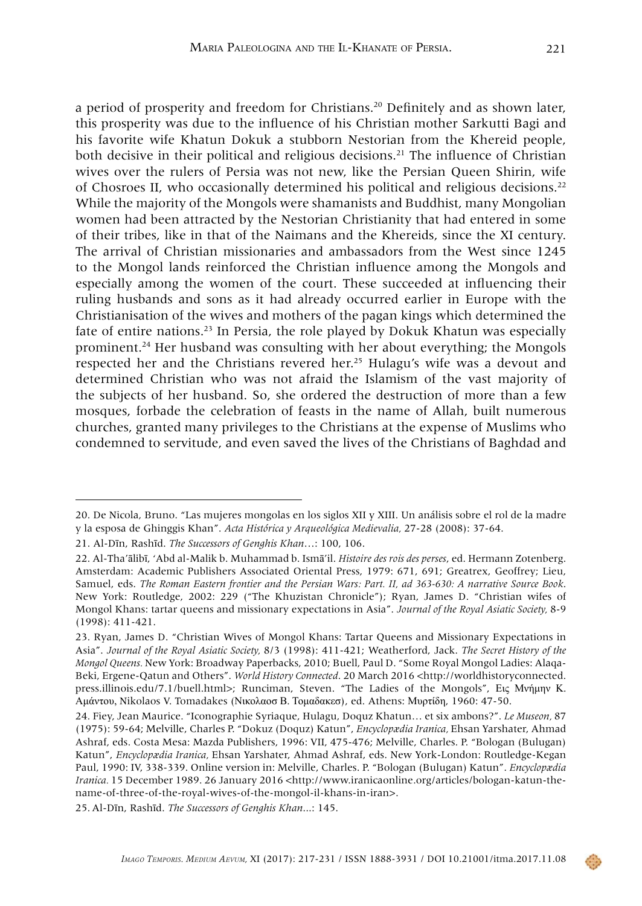a period of prosperity and freedom for Christians.20 Definitely and as shown later, this prosperity was due to the influence of his Christian mother Sarkutti Bagi and his favorite wife Khatun Dokuk a stubborn Nestorian from the Khereid people, both decisive in their political and religious decisions.<sup>21</sup> The influence of Christian wives over the rulers of Persia was not new, like the Persian Queen Shirin, wife of Chosroes II, who occasionally determined his political and religious decisions.22 While the majority of the Mongols were shamanists and Buddhist, many Mongolian women had been attracted by the Nestorian Christianity that had entered in some of their tribes, like in that of the Naimans and the Khereids, since the XI century. The arrival of Christian missionaries and ambassadors from the West since 1245 to the Mongol lands reinforced the Christian influence among the Mongols and especially among the women of the court. These succeeded at influencing their ruling husbands and sons as it had already occurred earlier in Europe with the Christianisation of the wives and mothers of the pagan kings which determined the fate of entire nations.<sup>23</sup> In Persia, the role played by Dokuk Khatun was especially prominent.24 Her husband was consulting with her about everything; the Mongols respected her and the Christians revered her.25 Hulagu's wife was a devout and determined Christian who was not afraid the Islamism of the vast majority of the subjects of her husband. So, she ordered the destruction of more than a few mosques, forbade the celebration of feasts in the name of Allah, built numerous churches, granted many privileges to the Christians at the expense of Muslims who condemned to servitude, and even saved the lives of the Christians of Baghdad and

<sup>20.</sup> De Nicola, Bruno. "Las mujeres mongolas en los siglos XII y XIII. Un análisis sobre el rol de la madre y la esposa de Ghinggis Khan". *Acta Histórica y Arqueológica Medievalia,* 27-28 (2008): 37-64.

<sup>21.</sup> Al-Dīn, Rashīd. *The Successors of Genghis Khan*…: 100, 106.

<sup>22.</sup> Al-Tha'ālibī, 'Abd al-Malik b. Muhammad b. Ismā'il. *Histoire des rois des perses*, ed. Hermann Zotenberg. Amsterdam: Academic Publishers Associated Oriental Press, 1979: 671, 691; Greatrex, Geoffrey; Lieu, Samuel, eds. *The Roman Eastern frontier and the Persian Wars: Part. II, ad 363-630: A narrative Source Book*. New York: Routledge, 2002: 229 ("The Khuzistan Chronicle"); Ryan, James D. "Christian wifes of Mongol Khans: tartar queens and missionary expectations in Asia". *Journal of the Royal Asiatic Society,* 8-9 (1998): 411-421.

<sup>23.</sup> Ryan, James D. "Christian Wives of Mongol Khans: Tartar Queens and Missionary Expectations in Asia". *Journal of the Royal Asiatic Society,* 8/3 (1998): 411-421; Weatherford, Jack. *The Secret History of the Mongol Queens.* New York: Broadway Paperbacks, 2010; Buell, Paul D. "Some Royal Mongol Ladies: Alaqa-Beki, Ergene-Qatun and Others". *World History Connected*. 20 March 2016 <http://worldhistoryconnected. press.illinois.edu/7.1/buell.html>; Runciman, Steven. "The Ladies of the Mongols", Εις Μνήμην Κ. Αμάντου, Nikolaos V. Tomadakes (Νικολαοσ Β. Τομαδακεσ), ed. Athens: Μυρτίδη, 1960: 47-50.

<sup>24.</sup> Fiey, Jean Maurice. "Iconographie Syriaque, Hulagu, Doquz Khatun… et six ambons?". *Le Museon,* 87 (1975): 59-64; Melville, Charles P. "Dokuz (Doquz) Katun", *Encyclopædia Iranica,* Ehsan Yarshater, Ahmad Ashraf, eds. Costa Mesa: Mazda Publishers, 1996: VII, 475-476; Melville, Charles. P. "Bologan (Bulugan) Katun", *Encyclopædia Iranica,* Ehsan Yarshater, Ahmad Ashraf, eds. New York-London: Routledge-Kegan Paul, 1990: IV, 338-339. Online version in: Melville, Charles. P. "Bologan (Bulugan) Katun". *Encyclopædia Iranica.* 15 December 1989. 26 January 2016 <http://www.iranicaonline.org/articles/bologan-katun-thename-of-three-of-the-royal-wives-of-the-mongol-il-khans-in-iran>.

<sup>25.</sup> Al-Dīn, Rashīd. *The Successors of Genghis Khan*...: 145.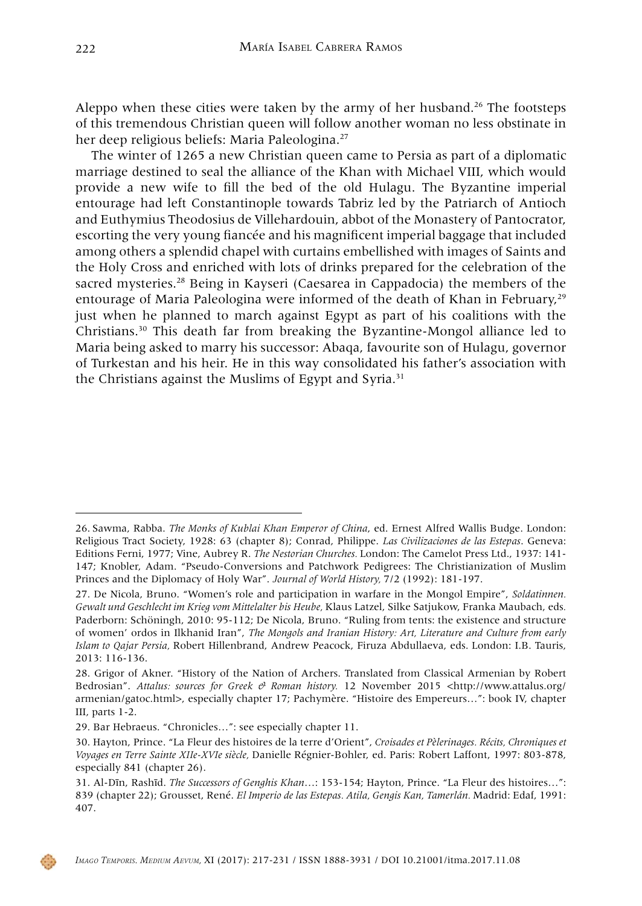Aleppo when these cities were taken by the army of her husband.<sup>26</sup> The footsteps of this tremendous Christian queen will follow another woman no less obstinate in her deep religious beliefs: Maria Paleologina.<sup>27</sup>

The winter of 1265 a new Christian queen came to Persia as part of a diplomatic marriage destined to seal the alliance of the Khan with Michael VIII, which would provide a new wife to fill the bed of the old Hulagu. The Byzantine imperial entourage had left Constantinople towards Tabriz led by the Patriarch of Antioch and Euthymius Theodosius de Villehardouin, abbot of the Monastery of Pantocrator, escorting the very young fiancée and his magnificent imperial baggage that included among others a splendid chapel with curtains embellished with images of Saints and the Holy Cross and enriched with lots of drinks prepared for the celebration of the sacred mysteries.28 Being in Kayseri (Caesarea in Cappadocia) the members of the entourage of Maria Paleologina were informed of the death of Khan in February.<sup>29</sup> just when he planned to march against Egypt as part of his coalitions with the Christians.30 This death far from breaking the Byzantine-Mongol alliance led to Maria being asked to marry his successor: Abaqa, favourite son of Hulagu, governor of Turkestan and his heir. He in this way consolidated his father's association with the Christians against the Muslims of Egypt and Syria.<sup>31</sup>

<sup>26.</sup> Sawma, Rabba. *The Monks of Kublai Khan Emperor of China*, ed. Ernest Alfred Wallis Budge. London: Religious Tract Society, 1928: 63 (chapter 8); Conrad, Philippe. *Las Civilizaciones de las Estepas*. Geneva: Editions Ferni, 1977; Vine, Aubrey R. *The Nestorian Churches.* London: The Camelot Press Ltd., 1937: 141- 147; Knobler, Adam. "Pseudo-Conversions and Patchwork Pedigrees: The Christianization of Muslim Princes and the Diplomacy of Holy War". *Journal of World History,* 7/2 (1992): 181-197.

<sup>27.</sup> De Nicola, Bruno. "Women's role and participation in warfare in the Mongol Empire", *Soldatinnen. Gewalt und Geschlecht im Krieg vom Mittelalter bis Heube,* Klaus Latzel, Silke Satjukow, Franka Maubach, eds*.*  Paderborn: Schöningh, 2010: 95-112; De Nicola, Bruno. "Ruling from tents: the existence and structure of women' ordos in Ilkhanid Iran", *The Mongols and Iranian History: Art, Literature and Culture from early Islam to Qajar Persia,* Robert Hillenbrand, Andrew Peacock, Firuza Abdullaeva, eds. London: I.B. Tauris, 2013: 116-136.

<sup>28.</sup> Grigor of Akner. "History of the Nation of Archers. Translated from Classical Armenian by Robert Bedrosian". Attalus: sources for Greek & Roman history. 12 November 2015 [<http://www.attalus.org/](http://www.attalus.org/armenian/gatoc.html) [armenian/gatoc.html>](http://www.attalus.org/armenian/gatoc.html), especially chapter 17; Pachymère. "Histoire des Empereurs…": book IV, chapter III, parts 1-2.

<sup>29.</sup> Bar Hebraeus. "Chronicles…": see especially chapter 11.

<sup>30.</sup> Hayton, Prince. "La Fleur des histoires de la terre d'Orient", *Croisades et Pèlerinages. Récits, Chroniques et Voyages en Terre Sainte XIIe-XVIe siècle,* Danielle Régnier-Bohler, ed. Paris: Robert Laffont, 1997: 803-878, especially 841 (chapter 26).

<sup>31.</sup> Al-Dīn, Rashīd. *The Successors of Genghis Khan*…: 153-154; Hayton, Prince. "La Fleur des histoires…": 839 (chapter 22); Grousset, René. *El Imperio de las Estepas. Atila, Gengis Kan, Tamerlán.* Madrid: Edaf, 1991: 407.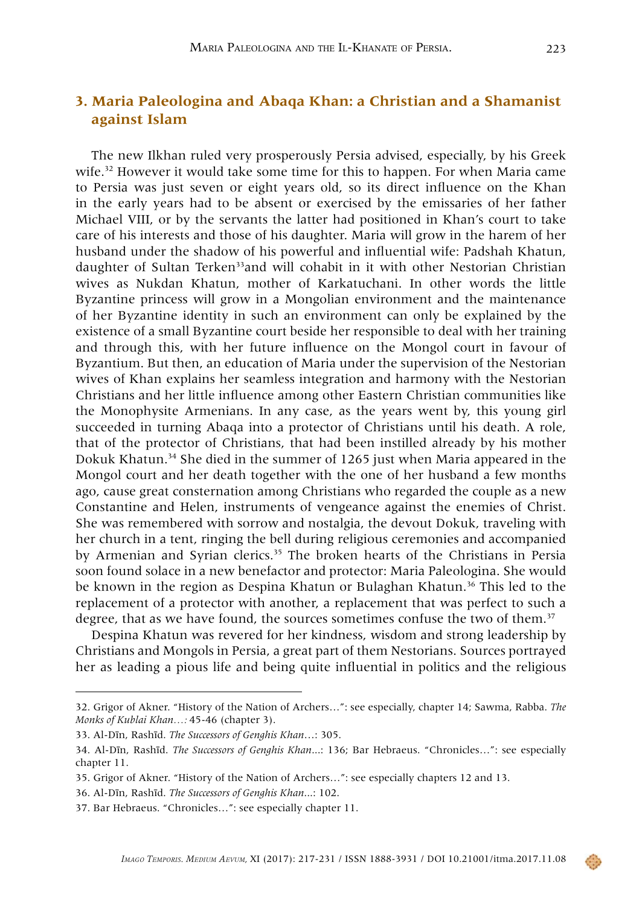# **3. Maria Paleologina and Abaqa Khan: a Christian and a Shamanist against Islam**

The new Ilkhan ruled very prosperously Persia advised, especially, by his Greek wife.<sup>32</sup> However it would take some time for this to happen. For when Maria came to Persia was just seven or eight years old, so its direct influence on the Khan in the early years had to be absent or exercised by the emissaries of her father Michael VIII, or by the servants the latter had positioned in Khan's court to take care of his interests and those of his daughter. Maria will grow in the harem of her husband under the shadow of his powerful and influential wife: Padshah Khatun, daughter of Sultan Terken<sup>33</sup>and will cohabit in it with other Nestorian Christian wives as Nukdan Khatun, mother of Karkatuchani. In other words the little Byzantine princess will grow in a Mongolian environment and the maintenance of her Byzantine identity in such an environment can only be explained by the existence of a small Byzantine court beside her responsible to deal with her training and through this, with her future influence on the Mongol court in favour of Byzantium. But then, an education of Maria under the supervision of the Nestorian wives of Khan explains her seamless integration and harmony with the Nestorian Christians and her little influence among other Eastern Christian communities like the Monophysite Armenians. In any case, as the years went by, this young girl succeeded in turning Abaqa into a protector of Christians until his death. A role, that of the protector of Christians, that had been instilled already by his mother Dokuk Khatun.<sup>34</sup> She died in the summer of 1265 just when Maria appeared in the Mongol court and her death together with the one of her husband a few months ago, cause great consternation among Christians who regarded the couple as a new Constantine and Helen, instruments of vengeance against the enemies of Christ. She was remembered with sorrow and nostalgia, the devout Dokuk, traveling with her church in a tent, ringing the bell during religious ceremonies and accompanied by Armenian and Syrian clerics.<sup>35</sup> The broken hearts of the Christians in Persia soon found solace in a new benefactor and protector: Maria Paleologina. She would be known in the region as Despina Khatun or Bulaghan Khatun.<sup>36</sup> This led to the replacement of a protector with another, a replacement that was perfect to such a degree, that as we have found, the sources sometimes confuse the two of them.<sup>37</sup>

Despina Khatun was revered for her kindness, wisdom and strong leadership by Christians and Mongols in Persia, a great part of them Nestorians. Sources portrayed her as leading a pious life and being quite influential in politics and the religious

<sup>32.</sup> Grigor of Akner. "History of the Nation of Archers…": see especially, chapter 14; Sawma, Rabba. *The Monks of Kublai Khan…:* 45-46 (chapter 3).

<sup>33.</sup> Al-Dīn, Rashīd. *The Successors of Genghis Khan*…: 305.

<sup>34.</sup> Al-Dīn, Rashīd. *The Successors of Genghis Khan*...: 136; Bar Hebraeus. "Chronicles…": see especially chapter 11.

<sup>35.</sup> Grigor of Akner. "History of the Nation of Archers…": see especially chapters 12 and 13.

<sup>36.</sup> Al-Dīn, Rashīd. *The Successors of Genghis Khan*...: 102.

<sup>37.</sup> Bar Hebraeus. "Chronicles…": see especially chapter 11.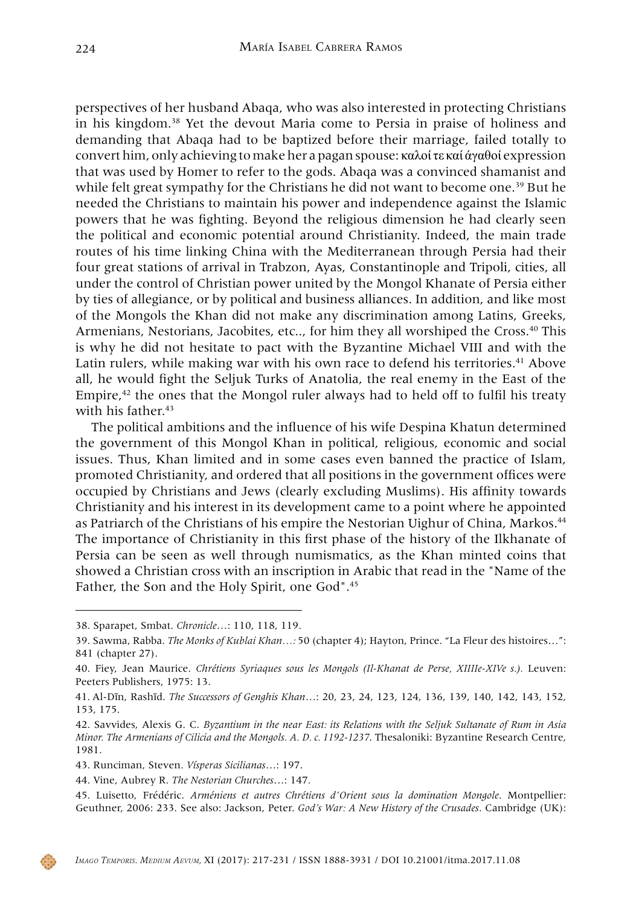perspectives of her husband Abaqa, who was also interested in protecting Christians in his kingdom.38 Yet the devout Maria come to Persia in praise of holiness and demanding that Abaqa had to be baptized before their marriage, failed totally to convert him, only achieving to make her a pagan spouse: καλοί τε καί άγαθοί expression that was used by Homer to refer to the gods. Abaqa was a convinced shamanist and while felt great sympathy for the Christians he did not want to become one.<sup>39</sup> But he needed the Christians to maintain his power and independence against the Islamic powers that he was fighting. Beyond the religious dimension he had clearly seen the political and economic potential around Christianity. Indeed, the main trade routes of his time linking China with the Mediterranean through Persia had their four great stations of arrival in Trabzon, Ayas, Constantinople and Tripoli, cities, all under the control of Christian power united by the Mongol Khanate of Persia either by ties of allegiance, or by political and business alliances. In addition, and like most of the Mongols the Khan did not make any discrimination among Latins, Greeks, Armenians, Nestorians, Jacobites, etc.., for him they all worshiped the Cross.40 This is why he did not hesitate to pact with the Byzantine Michael VIII and with the Latin rulers, while making war with his own race to defend his territories.<sup>41</sup> Above all, he would fight the Seljuk Turks of Anatolia, the real enemy in the East of the Empire, $42$  the ones that the Mongol ruler always had to held off to fulfil his treaty with his father.<sup>43</sup>

The political ambitions and the influence of his wife Despina Khatun determined the government of this Mongol Khan in political, religious, economic and social issues. Thus, Khan limited and in some cases even banned the practice of Islam, promoted Christianity, and ordered that all positions in the government offices were occupied by Christians and Jews (clearly excluding Muslims). His affinity towards Christianity and his interest in its development came to a point where he appointed as Patriarch of the Christians of his empire the Nestorian Uighur of China, Markos.44 The importance of Christianity in this first phase of the history of the Ilkhanate of Persia can be seen as well through numismatics, as the Khan minted coins that showed a Christian cross with an inscription in Arabic that read in the "Name of the Father, the Son and the Holy Spirit, one God".45



<sup>38.</sup> Sparapet, Smbat. *Chronicle*…: 110, 118, 119.

<sup>39.</sup> Sawma, Rabba. *The Monks of Kublai Khan…:* 50 (chapter 4); Hayton, Prince. "La Fleur des histoires…": 841 (chapter 27).

<sup>40.</sup> Fiey, Jean Maurice. *Chrétiens Syriaques sous les Mongols (Il-Khanat de Perse, XIIIIe-XIVe s.).* Leuven: Peeters Publishers, 1975: 13.

<sup>41.</sup> Al-Dīn, Rashīd. *The Successors of Genghis Khan*…: 20, 23, 24, 123, 124, 136, 139, 140, 142, 143, 152, 153, 175.

<sup>42.</sup> Savvides, Alexis G. C. *Byzantium in the near East: its Relations with the Seljuk Sultanate of Rum in Asia Minor. The Armenians of Cilicia and the Mongols. A. D. c. 1192-1237*. Thesaloniki: Byzantine Research Centre, 1981.

<sup>43.</sup> Runciman, Steven. *Vísperas Sicilianas*…: 197.

<sup>44.</sup> Vine, Aubrey R. *The Nestorian Churches*…: 147.

<sup>45.</sup> Luisetto, Frédéric. *Arméniens et autres Chrétiens d'Orient sous la domination Mongole*. Montpellier: Geuthner, 2006: 233. See also: Jackson, Peter. *God's War: A New History of the Crusades*. Cambridge (UK):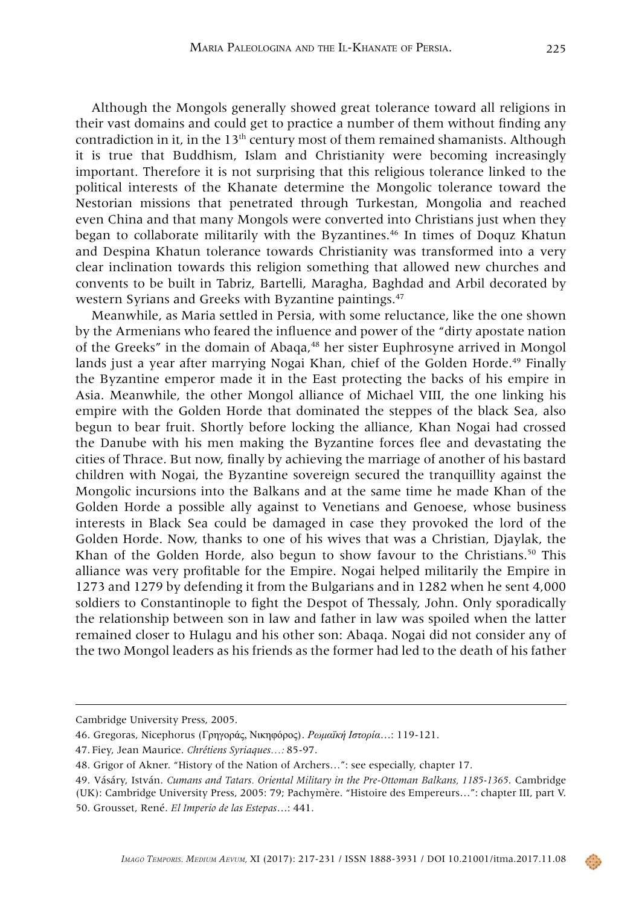Although the Mongols generally showed great tolerance toward all religions in their vast domains and could get to practice a number of them without finding any contradiction in it, in the  $13<sup>th</sup>$  century most of them remained shamanists. Although it is true that Buddhism, Islam and Christianity were becoming increasingly important. Therefore it is not surprising that this religious tolerance linked to the political interests of the Khanate determine the Mongolic tolerance toward the Nestorian missions that penetrated through Turkestan, Mongolia and reached even China and that many Mongols were converted into Christians just when they began to collaborate militarily with the Byzantines.46 In times of Doquz Khatun and Despina Khatun tolerance towards Christianity was transformed into a very clear inclination towards this religion something that allowed new churches and convents to be built in Tabriz, Bartelli, Maragha, Baghdad and Arbil decorated by western Syrians and Greeks with Byzantine paintings.<sup>47</sup>

Meanwhile, as Maria settled in Persia, with some reluctance, like the one shown by the Armenians who feared the influence and power of the "dirty apostate nation of the Greeks" in the domain of Abaqa,<sup>48</sup> her sister Euphrosyne arrived in Mongol lands just a year after marrying Nogai Khan, chief of the Golden Horde.<sup>49</sup> Finally the Byzantine emperor made it in the East protecting the backs of his empire in Asia. Meanwhile, the other Mongol alliance of Michael VIII, the one linking his empire with the Golden Horde that dominated the steppes of the black Sea, also begun to bear fruit. Shortly before locking the alliance, Khan Nogai had crossed the Danube with his men making the Byzantine forces flee and devastating the cities of Thrace. But now, finally by achieving the marriage of another of his bastard children with Nogai, the Byzantine sovereign secured the tranquillity against the Mongolic incursions into the Balkans and at the same time he made Khan of the Golden Horde a possible ally against to Venetians and Genoese, whose business interests in Black Sea could be damaged in case they provoked the lord of the Golden Horde. Now, thanks to one of his wives that was a Christian, Djaylak, the Khan of the Golden Horde, also begun to show favour to the Christians.<sup>50</sup> This alliance was very profitable for the Empire. Nogai helped militarily the Empire in 1273 and 1279 by defending it from the Bulgarians and in 1282 when he sent 4,000 soldiers to Constantinople to fight the Despot of Thessaly, John. Only sporadically the relationship between son in law and father in law was spoiled when the latter remained closer to Hulagu and his other son: Abaqa. Nogai did not consider any of the two Mongol leaders as his friends as the former had led to the death of his father

Cambridge University Press, 2005.

<sup>46.</sup> Gregoras, Nicephorus (Γρηγοράς, Νικηφόρος). *Ρωμαïκή Ιστορία*…: 119-121.

<sup>47.</sup> Fiey, Jean Maurice. *Chrétiens Syriaques…:* 85-97.

<sup>48.</sup> Grigor of Akner. "History of the Nation of Archers…": see especially, chapter 17.

<sup>49.</sup> Vásáry, István. *Cumans and Tatars. Oriental Military in the Pre-Ottoman Balkans, 1185-1365*. Cambridge (UK): Cambridge University Press, 2005: 79; Pachymère. "Histoire des Empereurs…": chapter III, part V. 50. Grousset, René. *El Imperio de las Estepas*…: 441.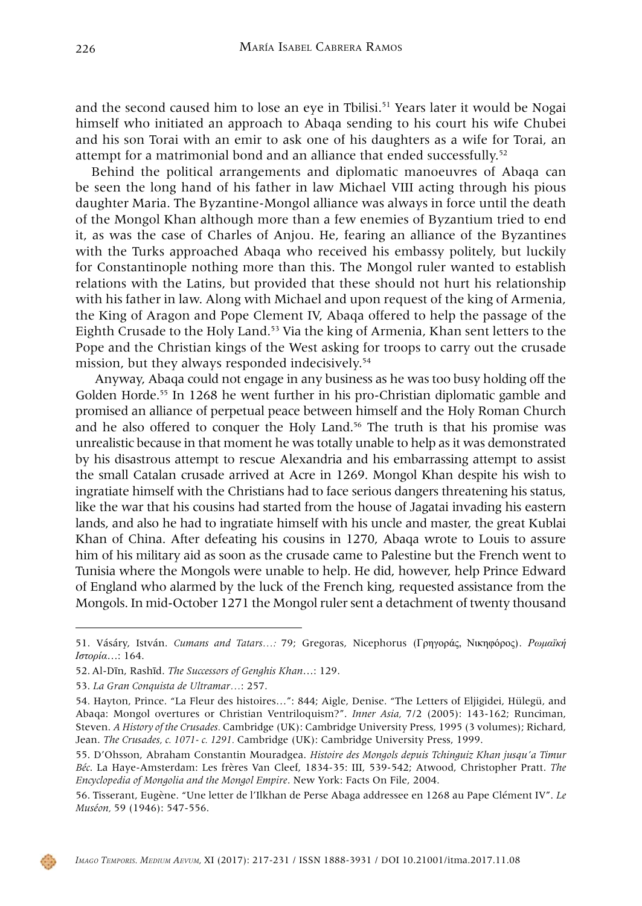and the second caused him to lose an eye in Tbilisi.<sup>51</sup> Years later it would be Nogai himself who initiated an approach to Abaqa sending to his court his wife Chubei and his son Torai with an emir to ask one of his daughters as a wife for Torai, an attempt for a matrimonial bond and an alliance that ended successfully.52

Behind the political arrangements and diplomatic manoeuvres of Abaqa can be seen the long hand of his father in law Michael VIII acting through his pious daughter Maria. The Byzantine-Mongol alliance was always in force until the death of the Mongol Khan although more than a few enemies of Byzantium tried to end it, as was the case of Charles of Anjou. He, fearing an alliance of the Byzantines with the Turks approached Abaqa who received his embassy politely, but luckily for Constantinople nothing more than this. The Mongol ruler wanted to establish relations with the Latins, but provided that these should not hurt his relationship with his father in law. Along with Michael and upon request of the king of Armenia, the King of Aragon and Pope Clement IV, Abaqa offered to help the passage of the Eighth Crusade to the Holy Land.<sup>53</sup> Via the king of Armenia, Khan sent letters to the Pope and the Christian kings of the West asking for troops to carry out the crusade mission, but they always responded indecisively.<sup>54</sup>

 Anyway, Abaqa could not engage in any business as he was too busy holding off the Golden Horde.55 In 1268 he went further in his pro-Christian diplomatic gamble and promised an alliance of perpetual peace between himself and the Holy Roman Church and he also offered to conquer the Holy Land.56 The truth is that his promise was unrealistic because in that moment he was totally unable to help as it was demonstrated by his disastrous attempt to rescue Alexandria and his embarrassing attempt to assist the small Catalan crusade arrived at Acre in 1269. Mongol Khan despite his wish to ingratiate himself with the Christians had to face serious dangers threatening his status, like the war that his cousins had started from the house of Jagatai invading his eastern lands, and also he had to ingratiate himself with his uncle and master, the great Kublai Khan of China. After defeating his cousins in 1270, Abaqa wrote to Louis to assure him of his military aid as soon as the crusade came to Palestine but the French went to Tunisia where the Mongols were unable to help. He did, however, help Prince Edward of England who alarmed by the luck of the French king, requested assistance from the Mongols. In mid-October 1271 the Mongol ruler sent a detachment of twenty thousand



<sup>51.</sup> Vásáry, István. *Cumans and Tatars…:* 79; Gregoras, Nicephorus (Γρηγοράς, Νικηφόρος). *Ρωμαïκή Ιστορία*…: 164.

<sup>52.</sup> Al-Dīn, Rashīd. *The Successors of Genghis Khan*…: 129.

<sup>53.</sup> *La Gran Conquista de Ultramar…*: 257.

<sup>54.</sup> Hayton, Prince. "La Fleur des histoires…": 844; Aigle, Denise. "The Letters of Eljigidei, Hülegü, and Abaqa: Mongol overtures or Christian Ventriloquism?". *Inner Asia,* 7/2 (2005): 143-162; Runciman, Steven. *A History of the Crusades.* Cambridge (UK): Cambridge University Press, 1995 (3 volumes); Richard, Jean. *The Crusades, c. 1071- c. 1291.* Cambridge (UK): Cambridge University Press, 1999.

<sup>55.</sup> D'Ohsson, Abraham Constantin Mouradgea. *Histoire des Mongols depuis Tchinguiz Khan jusqu'a Timur Béc*. La Haye-Amsterdam: Les frères Van Cleef, 1834-35: III, 539-542; Atwood, Christopher Pratt. *The Encyclopedia of Mongolia and the Mongol Empire*. New York: Facts On File, 2004.

<sup>56.</sup> Tisserant, Eugène. "Une letter de l'Ilkhan de Perse Abaga addressee en 1268 au Pape Clément IV". *Le Muséon,* 59 (1946): 547-556.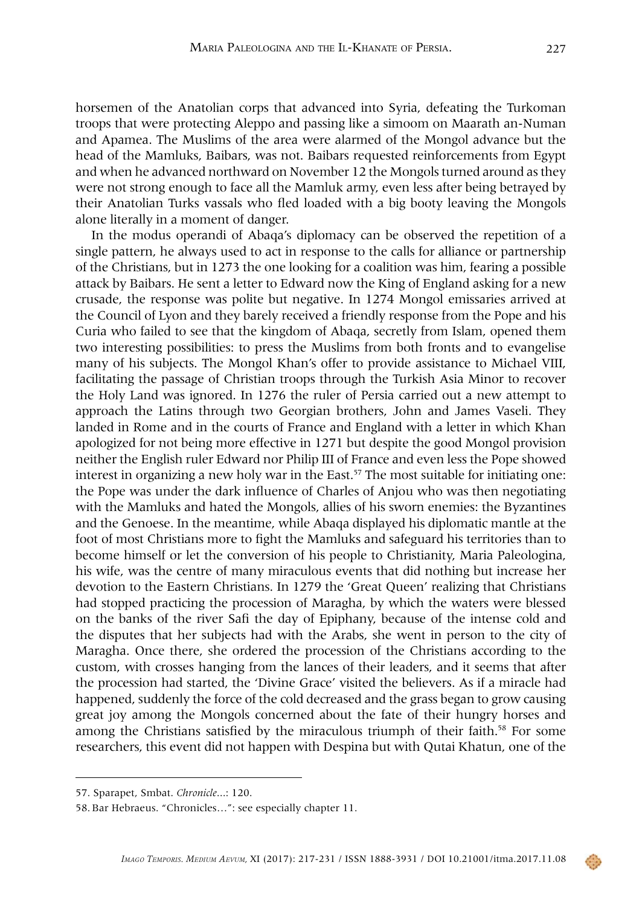horsemen of the Anatolian corps that advanced into Syria, defeating the Turkoman troops that were protecting Aleppo and passing like a simoom on Maarath an-Numan and Apamea. The Muslims of the area were alarmed of the Mongol advance but the head of the Mamluks, Baibars, was not. Baibars requested reinforcements from Egypt and when he advanced northward on November 12 the Mongols turned around as they were not strong enough to face all the Mamluk army, even less after being betrayed by their Anatolian Turks vassals who fled loaded with a big booty leaving the Mongols alone literally in a moment of danger.

In the modus operandi of Abaqa's diplomacy can be observed the repetition of a single pattern, he always used to act in response to the calls for alliance or partnership of the Christians, but in 1273 the one looking for a coalition was him, fearing a possible attack by Baibars. He sent a letter to Edward now the King of England asking for a new crusade, the response was polite but negative. In 1274 Mongol emissaries arrived at the Council of Lyon and they barely received a friendly response from the Pope and his Curia who failed to see that the kingdom of Abaqa, secretly from Islam, opened them two interesting possibilities: to press the Muslims from both fronts and to evangelise many of his subjects. The Mongol Khan's offer to provide assistance to Michael VIII, facilitating the passage of Christian troops through the Turkish Asia Minor to recover the Holy Land was ignored. In 1276 the ruler of Persia carried out a new attempt to approach the Latins through two Georgian brothers, John and James Vaseli. They landed in Rome and in the courts of France and England with a letter in which Khan apologized for not being more effective in 1271 but despite the good Mongol provision neither the English ruler Edward nor Philip III of France and even less the Pope showed interest in organizing a new holy war in the East.<sup>57</sup> The most suitable for initiating one: the Pope was under the dark influence of Charles of Anjou who was then negotiating with the Mamluks and hated the Mongols, allies of his sworn enemies: the Byzantines and the Genoese. In the meantime, while Abaqa displayed his diplomatic mantle at the foot of most Christians more to fight the Mamluks and safeguard his territories than to become himself or let the conversion of his people to Christianity, Maria Paleologina, his wife, was the centre of many miraculous events that did nothing but increase her devotion to the Eastern Christians. In 1279 the 'Great Queen' realizing that Christians had stopped practicing the procession of Maragha, by which the waters were blessed on the banks of the river Safi the day of Epiphany, because of the intense cold and the disputes that her subjects had with the Arabs, she went in person to the city of Maragha. Once there, she ordered the procession of the Christians according to the custom, with crosses hanging from the lances of their leaders, and it seems that after the procession had started, the 'Divine Grace' visited the believers. As if a miracle had happened, suddenly the force of the cold decreased and the grass began to grow causing great joy among the Mongols concerned about the fate of their hungry horses and among the Christians satisfied by the miraculous triumph of their faith.<sup>58</sup> For some researchers, this event did not happen with Despina but with Qutai Khatun, one of the



<sup>57.</sup> Sparapet, Smbat. *Chronicle*...: 120.

<sup>58.</sup>Bar Hebraeus. "Chronicles…": see especially chapter 11.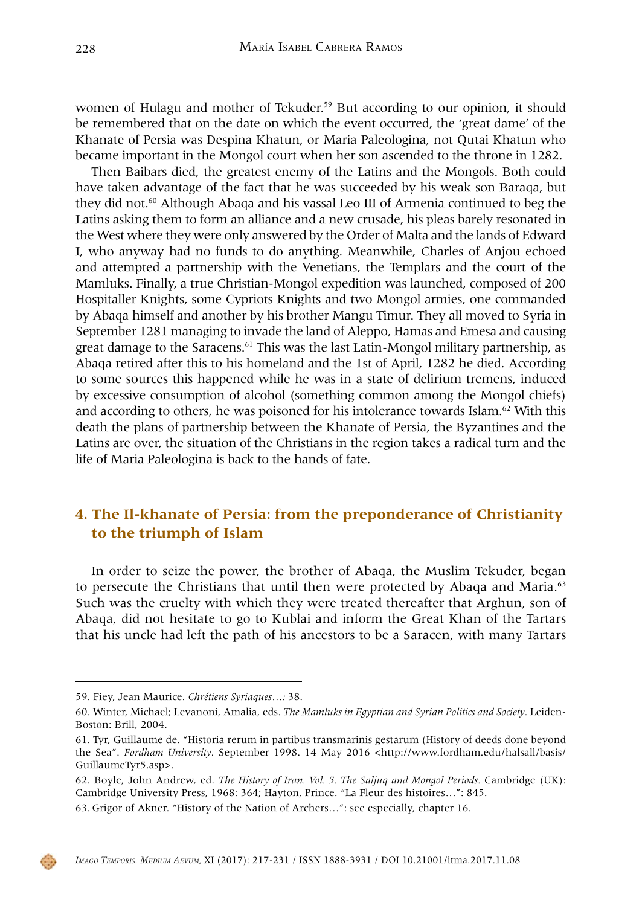women of Hulagu and mother of Tekuder.<sup>59</sup> But according to our opinion, it should be remembered that on the date on which the event occurred, the 'great dame' of the Khanate of Persia was Despina Khatun, or Maria Paleologina, not Qutai Khatun who became important in the Mongol court when her son ascended to the throne in 1282.

Then Baibars died, the greatest enemy of the Latins and the Mongols. Both could have taken advantage of the fact that he was succeeded by his weak son Baraqa, but they did not.60 Although Abaqa and his vassal Leo III of Armenia continued to beg the Latins asking them to form an alliance and a new crusade, his pleas barely resonated in the West where they were only answered by the Order of Malta and the lands of Edward I, who anyway had no funds to do anything. Meanwhile, Charles of Anjou echoed and attempted a partnership with the Venetians, the Templars and the court of the Mamluks. Finally, a true Christian-Mongol expedition was launched, composed of 200 Hospitaller Knights, some Cypriots Knights and two Mongol armies, one commanded by Abaqa himself and another by his brother Mangu Timur. They all moved to Syria in September 1281 managing to invade the land of Aleppo, Hamas and Emesa and causing great damage to the Saracens.<sup>61</sup> This was the last Latin-Mongol military partnership, as Abaqa retired after this to his homeland and the 1st of April, 1282 he died. According to some sources this happened while he was in a state of delirium tremens, induced by excessive consumption of alcohol (something common among the Mongol chiefs) and according to others, he was poisoned for his intolerance towards Islam. $62$  With this death the plans of partnership between the Khanate of Persia, the Byzantines and the Latins are over, the situation of the Christians in the region takes a radical turn and the life of Maria Paleologina is back to the hands of fate.

# **4. The Il-khanate of Persia: from the preponderance of Christianity to the triumph of Islam**

In order to seize the power, the brother of Abaqa, the Muslim Tekuder, began to persecute the Christians that until then were protected by Abaqa and Maria.<sup>63</sup> Such was the cruelty with which they were treated thereafter that Arghun, son of Abaqa, did not hesitate to go to Kublai and inform the Great Khan of the Tartars that his uncle had left the path of his ancestors to be a Saracen, with many Tartars

<sup>59.</sup> Fiey, Jean Maurice. *Chrétiens Syriaques…:* 38.

<sup>60.</sup> Winter, Michael; Levanoni, Amalia, eds. *The Mamluks in Egyptian and Syrian Politics and Society*. Leiden-Boston: Brill, 2004.

<sup>61.</sup> Tyr, Guillaume de. "Historia rerum in partibus transmarinis gestarum (History of deeds done beyond the Sea". *Fordham University*. September 1998. 14 May 2016 [<http://www.fordham.edu/halsall/basis/](http://www.fordham.edu/halsall/basis/GuillaumeTyr5.asp) [GuillaumeTyr5.asp>](http://www.fordham.edu/halsall/basis/GuillaumeTyr5.asp).

<sup>62.</sup> Boyle, John Andrew, ed. *The History of Iran. Vol. 5. The Saljuq and Mongol Periods.* Cambridge (UK): Cambridge University Press, 1968: 364; Hayton, Prince. "La Fleur des histoires…": 845.

<sup>63.</sup> Grigor of Akner. "History of the Nation of Archers…": see especially, chapter 16.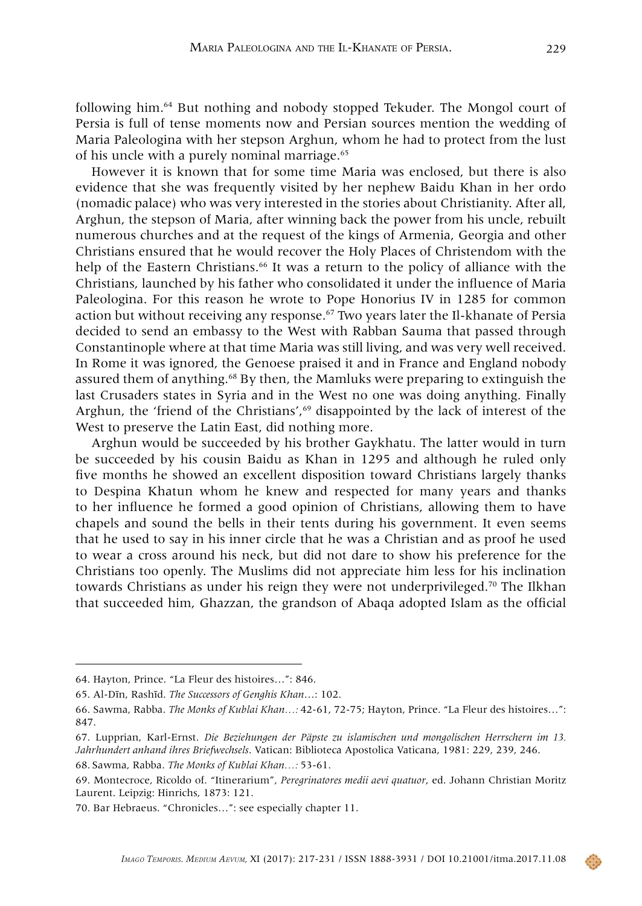following him.64 But nothing and nobody stopped Tekuder. The Mongol court of Persia is full of tense moments now and Persian sources mention the wedding of Maria Paleologina with her stepson Arghun, whom he had to protect from the lust of his uncle with a purely nominal marriage.<sup>65</sup>

However it is known that for some time Maria was enclosed, but there is also evidence that she was frequently visited by her nephew Baidu Khan in her ordo (nomadic palace) who was very interested in the stories about Christianity. After all, Arghun, the stepson of Maria, after winning back the power from his uncle, rebuilt numerous churches and at the request of the kings of Armenia, Georgia and other Christians ensured that he would recover the Holy Places of Christendom with the help of the Eastern Christians.<sup>66</sup> It was a return to the policy of alliance with the Christians, launched by his father who consolidated it under the influence of Maria Paleologina. For this reason he wrote to Pope Honorius IV in 1285 for common action but without receiving any response.67 Two years later the Il-khanate of Persia decided to send an embassy to the West with Rabban Sauma that passed through Constantinople where at that time Maria was still living, and was very well received. In Rome it was ignored, the Genoese praised it and in France and England nobody assured them of anything.68 By then, the Mamluks were preparing to extinguish the last Crusaders states in Syria and in the West no one was doing anything. Finally Arghun, the 'friend of the Christians', $69$  disappointed by the lack of interest of the West to preserve the Latin East, did nothing more.

Arghun would be succeeded by his brother Gaykhatu. The latter would in turn be succeeded by his cousin Baidu as Khan in 1295 and although he ruled only five months he showed an excellent disposition toward Christians largely thanks to Despina Khatun whom he knew and respected for many years and thanks to her influence he formed a good opinion of Christians, allowing them to have chapels and sound the bells in their tents during his government. It even seems that he used to say in his inner circle that he was a Christian and as proof he used to wear a cross around his neck, but did not dare to show his preference for the Christians too openly. The Muslims did not appreciate him less for his inclination towards Christians as under his reign they were not underprivileged.<sup>70</sup> The Ilkhan that succeeded him, Ghazzan, the grandson of Abaqa adopted Islam as the official

<sup>64.</sup> Hayton, Prince. "La Fleur des histoires…": 846.

<sup>65.</sup> Al-Dīn, Rashīd. *The Successors of Genghis Khan*…: 102.

<sup>66.</sup> Sawma, Rabba. *The Monks of Kublai Khan…:* 42-61, 72-75; Hayton, Prince. "La Fleur des histoires…": 847.

<sup>67.</sup> Lupprian, Karl-Ernst. *Die Beziehungen der Päpste zu islamischen und mongolischen Herrschern im 13. Jahrhundert anhand ihres Briefwechsels*. Vatican: Biblioteca Apostolica Vaticana, 1981: 229, 239, 246.

<sup>68.</sup> Sawma, Rabba. *The Monks of Kublai Khan…:* 53-61.

<sup>69.</sup> Montecroce, Ricoldo of. "Itinerarium", *Peregrinatores medii aevi quatuor*, ed. Johann Christian Moritz Laurent. Leipzig: Hinrichs, 1873: 121.

<sup>70.</sup> Bar Hebraeus. "Chronicles…": see especially chapter 11.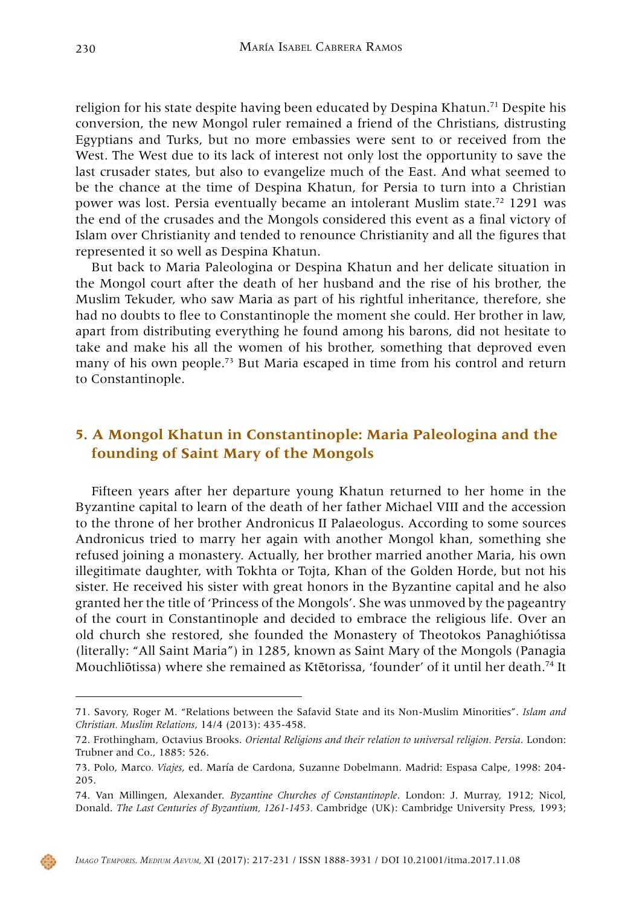religion for his state despite having been educated by Despina Khatun.71 Despite his conversion, the new Mongol ruler remained a friend of the Christians, distrusting Egyptians and Turks, but no more embassies were sent to or received from the West. The West due to its lack of interest not only lost the opportunity to save the last crusader states, but also to evangelize much of the East. And what seemed to be the chance at the time of Despina Khatun, for Persia to turn into a Christian power was lost. Persia eventually became an intolerant Muslim state.72 1291 was the end of the crusades and the Mongols considered this event as a final victory of Islam over Christianity and tended to renounce Christianity and all the figures that represented it so well as Despina Khatun.

But back to Maria Paleologina or Despina Khatun and her delicate situation in the Mongol court after the death of her husband and the rise of his brother, the Muslim Tekuder, who saw Maria as part of his rightful inheritance, therefore, she had no doubts to flee to Constantinople the moment she could. Her brother in law, apart from distributing everything he found among his barons, did not hesitate to take and make his all the women of his brother, something that deproved even many of his own people.73 But Maria escaped in time from his control and return to Constantinople.

# **5. A Mongol Khatun in Constantinople: Maria Paleologina and the founding of Saint Mary of the Mongols**

Fifteen years after her departure young Khatun returned to her home in the Byzantine capital to learn of the death of her father Michael VIII and the accession to the throne of her brother Andronicus II Palaeologus. According to some sources Andronicus tried to marry her again with another Mongol khan, something she refused joining a monastery. Actually, her brother married another Maria, his own illegitimate daughter, with Tokhta or Tojta, Khan of the Golden Horde, but not his sister. He received his sister with great honors in the Byzantine capital and he also granted her the title of 'Princess of the Mongols'. She was unmoved by the pageantry of the court in Constantinople and decided to embrace the religious life. Over an old church she restored, she founded the Monastery of Theotokos Panaghiótissa (literally: "All Saint Maria") in 1285, known as Saint Mary of the Mongols (Panagia Mouchliōtissa) where she remained as Ktētorissa, 'founder' of it until her death.74 It

<sup>71.</sup> Savory, Roger M. "Relations between the Safavid State and its Non-Muslim Minorities". *Islam and Christian. Muslim Relations*, 14/4 (2013): 435-458.

<sup>72.</sup> Frothingham, Octavius Brooks. *Oriental Religions and their relation to universal religion. Persia*. London: Trubner and Co., 1885: 526.

<sup>73.</sup> Polo, Marco*. Viajes*, ed. María de Cardona, Suzanne Dobelmann. Madrid: Espasa Calpe, 1998: 204- 205.

<sup>74.</sup> Van Millingen, Alexander. *Byzantine Churches of Constantinople*. London: J. Murray, 1912; Nicol, Donald. *The Last Centuries of Byzantium, 1261-1453.* Cambridge (UK): Cambridge University Press, 1993;